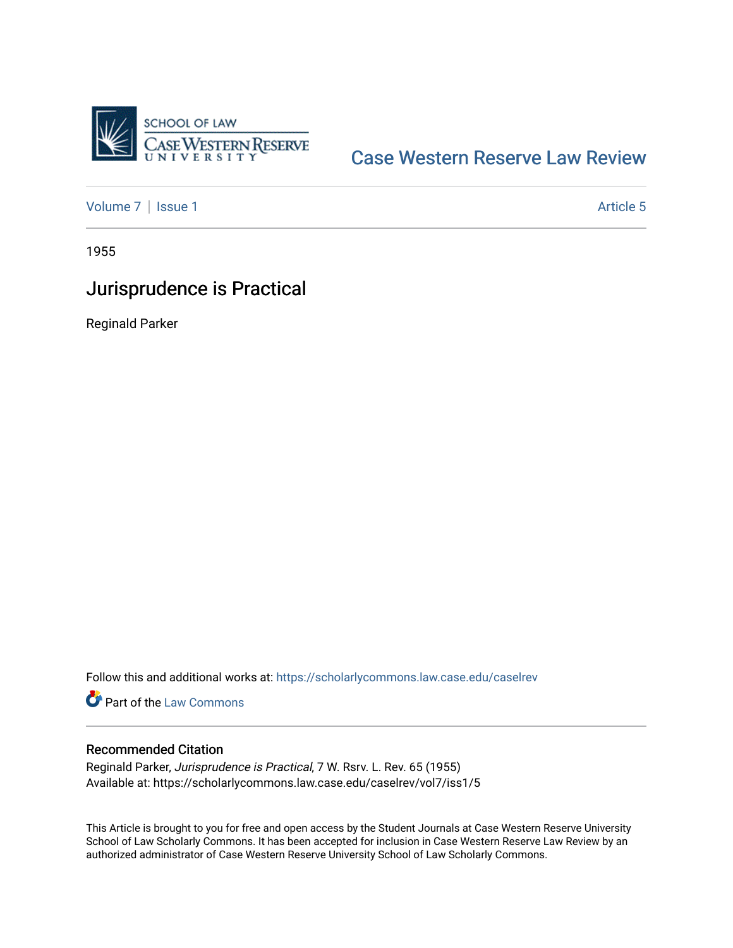

### [Case Western Reserve Law Review](https://scholarlycommons.law.case.edu/caselrev)

[Volume 7](https://scholarlycommons.law.case.edu/caselrev/vol7) | [Issue 1](https://scholarlycommons.law.case.edu/caselrev/vol7/iss1) Article 5

1955

# Jurisprudence is Practical

Reginald Parker

Follow this and additional works at: [https://scholarlycommons.law.case.edu/caselrev](https://scholarlycommons.law.case.edu/caselrev?utm_source=scholarlycommons.law.case.edu%2Fcaselrev%2Fvol7%2Fiss1%2F5&utm_medium=PDF&utm_campaign=PDFCoverPages)

Part of the [Law Commons](http://network.bepress.com/hgg/discipline/578?utm_source=scholarlycommons.law.case.edu%2Fcaselrev%2Fvol7%2Fiss1%2F5&utm_medium=PDF&utm_campaign=PDFCoverPages)

### Recommended Citation

Reginald Parker, Jurisprudence is Practical, 7 W. Rsrv. L. Rev. 65 (1955) Available at: https://scholarlycommons.law.case.edu/caselrev/vol7/iss1/5

This Article is brought to you for free and open access by the Student Journals at Case Western Reserve University School of Law Scholarly Commons. It has been accepted for inclusion in Case Western Reserve Law Review by an authorized administrator of Case Western Reserve University School of Law Scholarly Commons.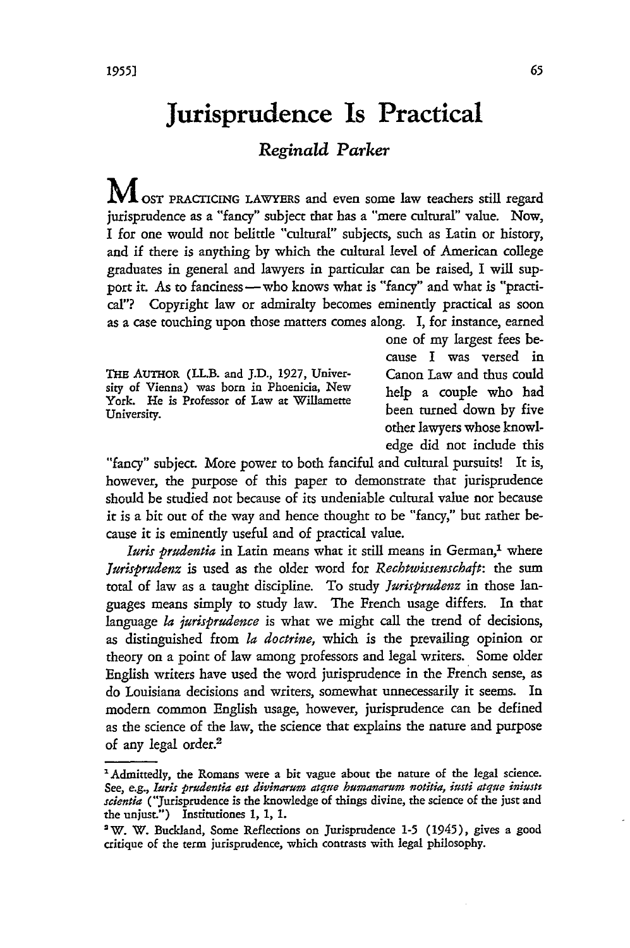## **Jurisprudence Is Practical**

#### *Reginald Parker*

**M** OST PRACTICING LAWYERS and even some law teachers still regard jurisprudence as a "fancy" subject that has a "mere cultural" value. Now, I for one would not belittle "cultural" subjects, such as Latin or history, and if there is anything by which the cultural level of American college graduates in general and lawyers in particular can be raised, I will support it. As to fanciness -- who knows what is "fancy" and what is "practical"? Copyright law or admiralty becomes eminently practical as soon as a case touching upon those matters comes along. I, for instance, earned

THE **AuTHOR (LL.B. and J.D.,** 1927, Univer- Canon Law and thus could sity of Vienna) was born in Phoenicia, New help a couple who **had** York. He is Professor of Law at Willamette Total Title is included to the act winducture been turned down by five

one of my largest fees because I was versed in other lawyers whose knowledge did not include this

"fancy" subject. More power to both fanciful and cultural pursuits! It is, however, the purpose of this paper to demonstrate that jurisprudence should be studied not because of its undeniable cultural value nor because it is a bit out of the way and hence thought to be "fancy," but rather because it is eminently useful and of practical value.

*Iuris prudentia* in Latin means what it still means in German,' where *Jurisprudenz* is used as the older word for *Rechtwissenschaft:* the sum total of law as a taught discipline. To study *Jurisprudenz* in those languages means simply to study law. The French usage differs. In that language *la jurisprudence* is what we might call the trend of decisions, as distinguished from *la doctrine,* which is the prevailing opinion or theory on a point of law among professors and legal writers. Some older English writers have used the word jurisprudence in the French sense, as do Louisiana decisions and writers, somewhat unnecessarily it seems. In modern common English usage, however, jurisprudence can be defined as the science of the law, the science that explains the nature and purpose of any legal order.<sup>2</sup>

<sup>&#</sup>x27;Admittedly, the Romans were a bit vague about the nature of the legal science. See, e.g., *luris prudentia est divinarum atque humanarum votitia, iusti atque iniust scientia* ("Jurisprudence is the knowledge of things divine, the science of the just and the unjust.") Institutiones 1, 1, 1.

<sup>2</sup>W. W. Buckland, Some Reflections on Jurisprudence **1-5** (1945), gives a good critique of the term jurisprudence, which contrasts with legal philosophy.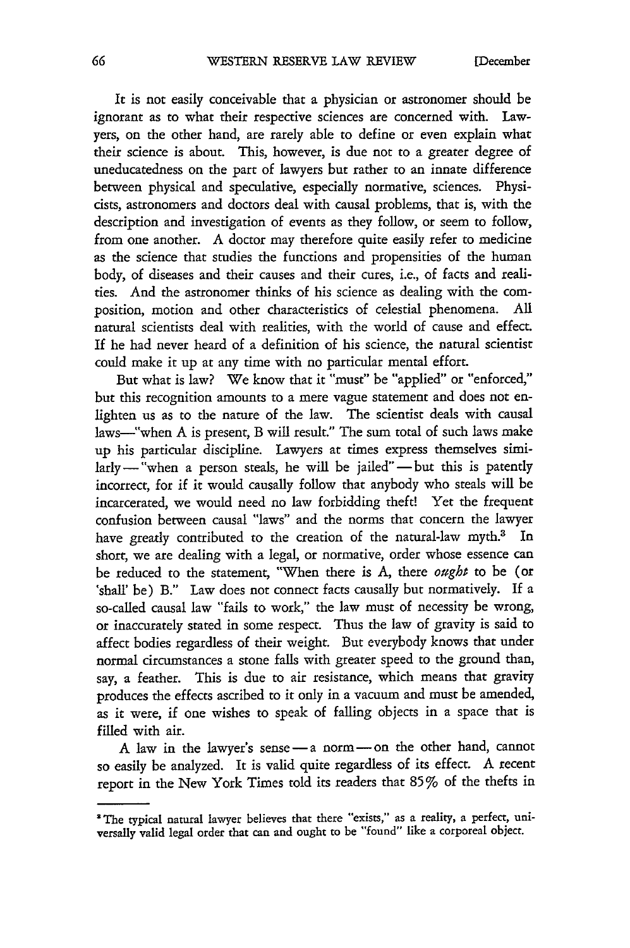It is not easily conceivable that a physician or astronomer should be ignorant as to what their respective sciences are concerned with. Lawyers, on the other hand, are rarely able to define or even explain what their science is about. This, however, is due not to a greater degree of uneducatedness on the part of lawyers but rather to an innate difference between physical and speculative, especially normative, sciences. Physicists, astronomers and doctors deal with causal problems, that is, with the description and investigation of events as they follow, or seem to follow, from one another. A doctor may therefore quite easily refer to medicine as the science that studies the functions and propensities of the human body, of diseases and their causes and their cures, i.e., of facts and realities. And the astronomer thinks of his science as dealing with the composition, motion and other characteristics of celestial phenomena. **All** natural scientists deal with realities, with the world of cause and effect. If he had never heard of a definition of his science, the natural scientist could make it up at any time with no particular mental effort.

But what is law? We know that it "must" be "applied" or "enforced," but this recognition amounts to a mere vague statement and does not enlighten us as to the nature of the law. The scientist deals with causal laws-"when A is present, B will result." The sum total of such laws make up his particular discipline. Lawyers at times express themselves simi $l$ arly - "when a person steals, he will be jailed" - but this is patently incorrect, for if it would causally follow that anybody who steals will be incarcerated, we would need no law forbidding theft! Yet the frequent confusion between causal "laws" and the norms that concern the lawyer have greatly contributed to the creation of the natural-law myth.<sup>3</sup> In short, we are dealing with a legal, or normative, order whose essence can be reduced to the statement, "When there is A, there *ought* to be (or 'shall' be) B." Law does not connect facts causally but normatively. If a so-called causal law "fails to work," the law must of necessity be wrong, or inaccurately stated in some respect. Thus the law of gravity is said to affect bodies regardless of their weight. But everybody knows that under normal circumstances a stone falls with greater speed to the ground than, say, a feather. This is due to air resistance, which means that gravity produces the effects ascribed to it only in a vacuum and must be amended, as it were, if one wishes to speak of falling objects in a space that is filled with air.

A law in the lawyer's sense-a norm-on the other hand, cannot so easily be analyzed. It is valid quite regardless of its effect. A recent report in the New York Times told its readers that 85% of the thefts in

<sup>&#</sup>x27;The typical natural lawyer believes that there "exists," **as** a reality, **a** perfect, universally valid legal order that can **and** ought **to** be "found" like **a** corporeal object.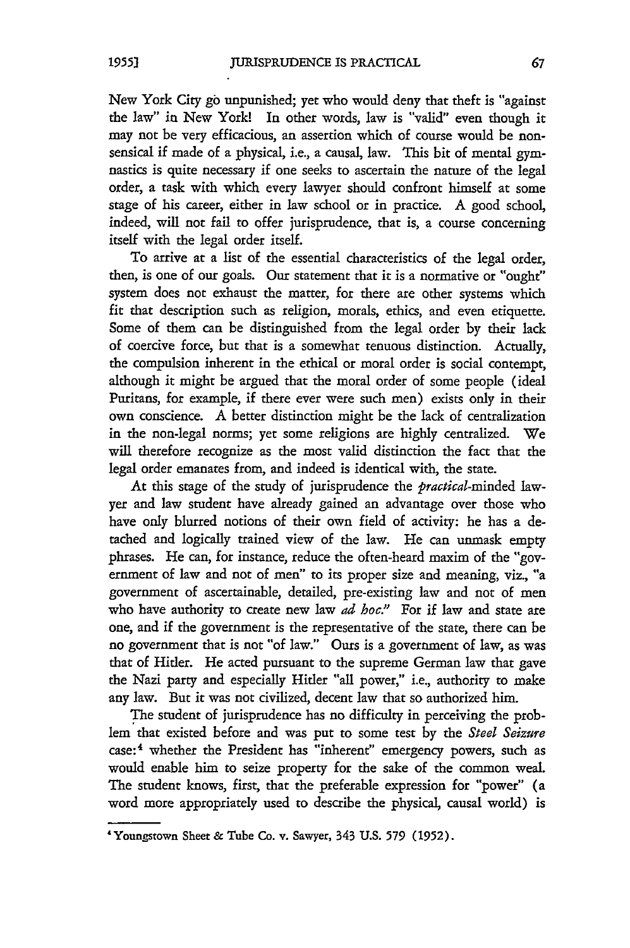New York City go unpunished; yet who would deny that theft is "against the law" in New York! In other words, law is "valid" even though it may not be very efficacious, an assertion which of course would be nonsensical if made of a physical, i.e., a causal, law. This bit of mental gymnastics is quite necessary if one seeks to ascertain the nature of the legal order, a task with which every lawyer should confront himself at some stage of his career, either in law school or in practice. A good school, indeed, will not fail to offer jurisprudence, that is, a course concerning itself with the legal order itself.

To arrive at a list of the essential characteristics of the legal order, then, is one of our goals. Our statement that it is a normative or "ought" system does not exhaust the matter, for there are other systems which fit that description such as religion, morals, ethics, and even etiquette. Some of them can be distinguished from the legal order by their lack of coercive force, but that is a somewhat tenuous distinction. Actually, the compulsion inherent in the ethical or moral order is social contempt, although it might be argued that the moral order of some people (ideal Puritans, for example, if there ever were such men) exists only in their own conscience. A better distinction might be the lack of centralization in the non-legal norms; yet some religions are highly centralized. We will therefore recognize as the most valid distinction the fact that the legal order emanates from, and indeed is identical with, the state.

At this stage of the study of jurisprudence the *practical-minded* lawyer and law student have already gained an advantage over those who have only blurred notions of their own field of activity: he has a detached and logically trained view of the law. He can unmask empty phrases. He can, for instance, reduce the often-heard maxim of the "government of law and not of men" to its proper size and meaning, viz., "a government of ascertainable, detailed, pre-existing law and not of men who have authority to create new law *ad hoc."* For if law and state are one, and if the government is the representative of the state, there can be no government that is not "of law." Ours is a government of law, as was that of Hitler. He acted pursuant to the supreme German law that gave the Nazi party and especially Hider "all power," i.e., authority to make any law. But it was not civilized, decent law that so authorized him.

The student of jurisprudence has no difficulty in perceiving the problem that existed before and was put to some test by the *Steel Seizure* case:<sup>4</sup> whether the President has "inherent" emergency powers, such as would enable him to seize property for the sake of the common weal. The student knows, first, that the preferable expression for "power" (a word more appropriately used to describe the physical, causal world) is

<sup>&#</sup>x27;Youngstown Sheet & Tube Co. v. Sawyer, 343 U.S. 579 (1952).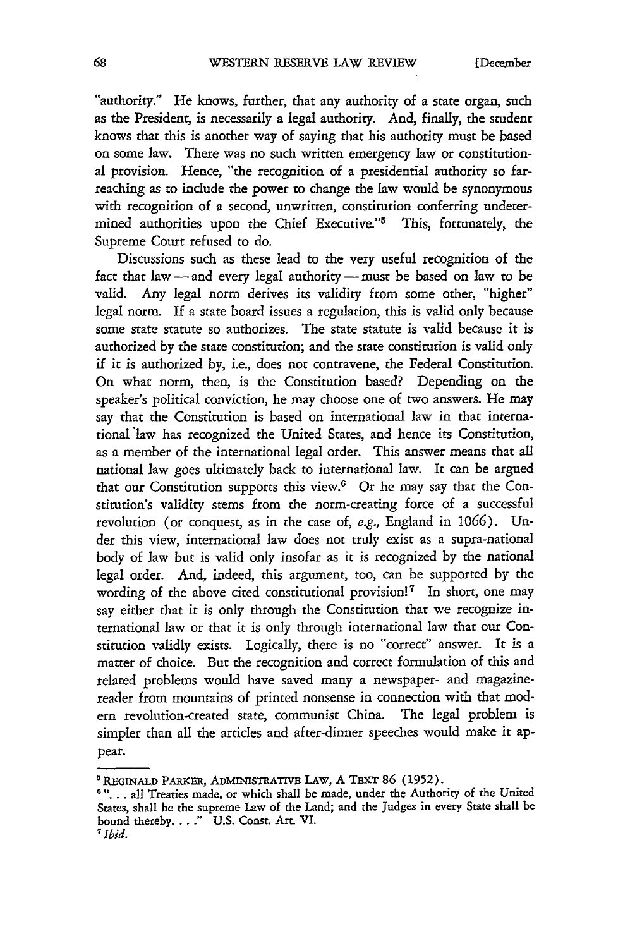"authority." He knows, further, that any authority of a state organ, such as the President, is necessarily a legal authority. And, finally, the student knows that this is another way of saying that his authority must be based on some law. There was no such written emergency law or constitutional provision. Hence, "the recognition of a presidential authority so farreaching as to include the power to change the law would be synonymous with recognition of a second, unwritten, constitution conferring undetermined authorities upon the Chief Executive."<sup>5</sup> This, fortunately, the Supreme Court refused to do.

Discussions such as these lead to the very useful recognition of the fact that law-and every legal authority-must be based on law to be valid. Any legal norm derives its validity from some other, "higher" legal norm. If a state board issues a regulation, this is valid only because some state statute so authorizes. The state statute is valid because it is authorized by the state constitution; and the state constitution is valid only if it is authorized by, i.e., does not contravene, the Federal Constitution. On what norm, then, is the Constitution based? Depending on the speaker's political conviction, he may choose one of two answers. He may say that the Constitution is based on international law in that international law has recognized the United States, and hence its Constitution, as a member of the international legal order. This answer means that all national law goes ultimately back to international law. It can be argued that our Constitution supports this view.<sup>6</sup> Or he may say that the Constitution's validity stems from the norm-creating force of a successful revolution (or conquest, as in the case of, e.g., England in 1066). Under this view, international law does not truly exist as a supra-national body of law but is valid only insofar as it is recognized by the national legal order. And, indeed, this argument, too, can be supported by the wording of the above cited constitutional provision!<sup>7</sup> In short, one may say either that it is only through the Constitution that we recognize international law or that it is only through international law that our Constitution validly exists. Logically, there is no "correct" answer. It is a matter of choice. But the recognition and correct formulation of this and related problems would have saved many a newspaper- and magazinereader from mountains of printed nonsense in connection with that modern revolution-created state, communist China. The legal problem is simpler than all the articles and after-dinner speeches would make it appear.

**<sup>5</sup>REGINALD** PARKER, ADMINISTRATIVE LAW, A TEXT **86 (1952). '"...** all Treaties made, or which shall be made, under the Authority of the United States, shall be the supreme Law of the Land; and the Judges in every State shall be bound thereby **.. " U.S.** Const. Art. VI.

*<sup>7</sup> Ibid.*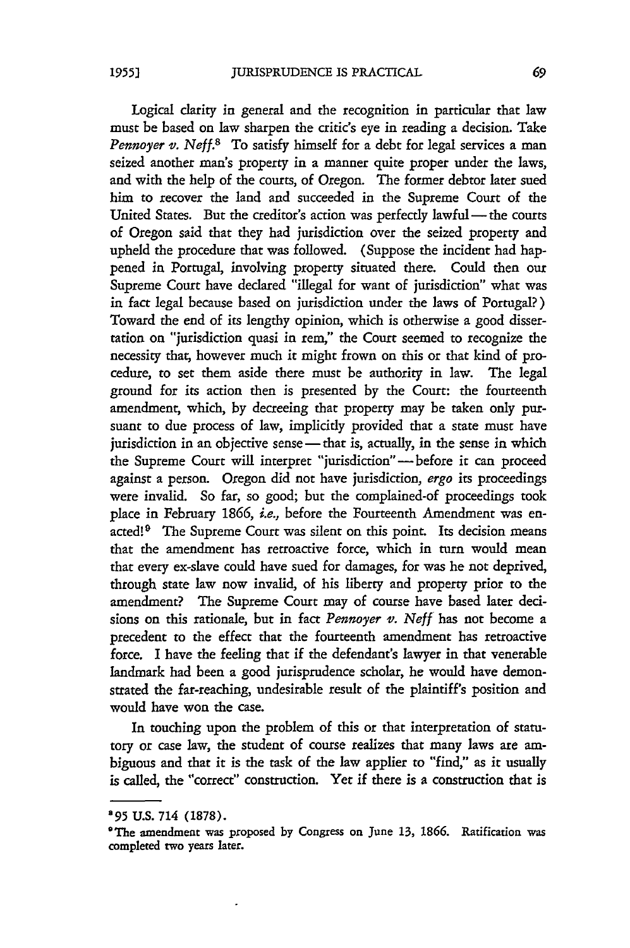Logical clarity in general and the recognition in particular that law must be based on law sharpen the critic's eye in reading a decision. Take *Pennoyer v. Neff.*<sup>8</sup> To satisfy himself for a debt for legal services a man seized another man's property in a manner quite proper under the laws, and with the help of the courts, of Oregon. The former debtor later sued him to recover the land and succeeded in the Supreme Court of the United States. But the creditor's action was perfectly lawful- the courts of Oregon said that they had jurisdiction over the seized property and upheld the procedure that was followed. (Suppose the incident had happened in Portugal, involving property situated there. Could then our Supreme Court have declared "illegal for want of jurisdiction" what was in fact legal because based on jurisdiction under the laws of Portugal?) Toward the end of its lengthy opinion, which is otherwise a **good** dissertation on "jurisdiction quasi in rem," the Court seemed to recognize the necessity that, however much it might frown on this or that kind of procedure, to set them aside there must be authority in law. The legal ground for its action then is presented by the Court: the fourteenth amendment; which, by decreeing that property may be taken only pursuant to due process of law, implicitly provided that a state must have jurisdiction in an objective sense - that is, actually, in the sense in which the Supreme Court will interpret "jurisdiction"-before it can proceed against a person. Oregon did not have jurisdiction, *ergo* its proceedings were invalid. So far, so good; but the complained-of proceedings took place in February 1866, *i.e.*, before the Fourteenth Amendment was enacted!<sup>9</sup> The Supreme Court was silent on this point. Its decision means that the amendment has retroactive force, which in turn would mean that every ex-slave could have sued for damages, for was he not deprived, through state law now invalid, of his liberty and property prior to the amendment? The Supreme Court may of course have based later decisions on this rationale, but in fact *Pennoyer v. Neff* has not become a precedent to the effect that the fourteenth amendment has retroactive force. I have the feeling that if the defendant's lawyer in that venerable landmark had been a good jurisprudence scholar, he would have demonstrated the far-reaching, undesirable result of the plaintiff's position and would have won the case.

In touching upon the problem of this or that interpretation of statutory or case law, the student of course realizes that many laws are ambiguous and that it is the task of the law applier to "find," as it usually is called, the "correct" construction. Yet if there is a construction that is

*<sup>895</sup>* U.S. 714 (1878).

<sup>&#</sup>x27;The amendment was proposed by Congress on June 13, **1866.** Ratification was completed two years later.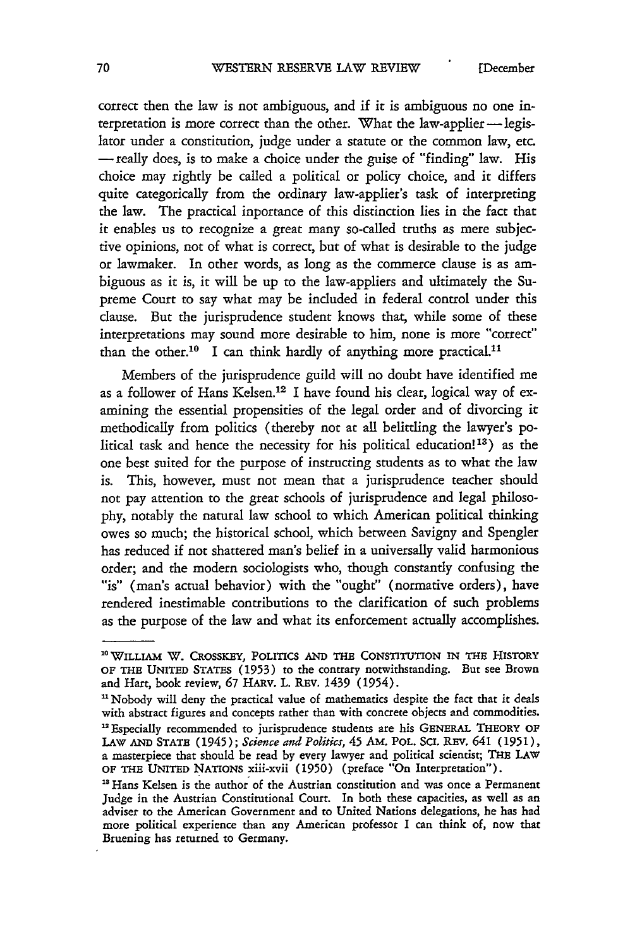EDecember

correct then the law is not ambiguous, and if it is ambiguous no one interpretation is more correct than the other. What the law-applier-legislator under a constitution, judge under a statute or the common law, etc. -really does, is to make a choice under the guise of "finding" law. His choice may rightly be called a political or policy choice, and it differs quite categorically from the ordinary law-applier's task of interpreting the law. The practical inportance of this distinction lies in the fact that it enables us to recognize a great many so-called truths as mere subjective opinions, not of what is correct, but of what is desirable to the judge or lawmaker. In other words, as long as the commerce **dause** is as ambiguous as it is, it will be up to the law-appliers and ultimately the Supreme Court to say what may be included in federal control under this clause. But the jurisprudence student knows that, while some of these interpretations may sound more desirable to him, none is more "correct" than the other.<sup>10</sup> I can think hardly of anything more practical.<sup>11</sup>

Members of the jurisprudence guild will no doubt have identified me as a follower of Hans Kelsen.<sup>12</sup> I have found his clear, logical way of examining the essential propensities of the legal order and of divorcing it methodically from politics (thereby not at all belittling the lawyer's political task and hence the necessity for his political education!<sup>13</sup>) as the one best suited for the purpose of instructing students as to what the law is. This, however, must not mean that a jurisprudence teacher should not pay attention to the great schools of jurisprudence and legal philosophy, notably the natural law school to which American political thinking owes so much; the historical school, which between Savigny and Spengler has reduced if not shattered man's belief in a universally valid harmonious order; and the modern sociologists who, though constantly confusing the "is" (man's actual behavior) with the "ought" (normative orders), have rendered inestimable contributions to the clarification of such problems as the purpose of the law and what its enforcement actually accomplishes.

**<sup>1</sup> <sup>0</sup> WILLIAM** W. **CROSSKEY,** POLITICS **AND** THE CONSTITUTION IN THE **HIsToRY OF** THE **UNITED STATES (1953)** to the contrary notwithstanding. But see Brown and Hart, book review, **67** HARv. L. REv. 1439 (1954).

<sup>&</sup>lt;sup>11</sup> Nobody will deny the practical value of mathematics despite the fact that it deals with abstract figures and concepts rather than with concrete objects and commodities. Especially recommended to jurisprudence students are his **GENERAL** THEORY **OF LAW AND STATE** (1945); *Science and Politics,* 45 AM. POL. Sci. REv. 641 **(1951),** a masterpiece that should be read by every lawyer and political scientist; THE LAW **OF** THE UNITED NATIONs xiii-xvii (1950) (preface "On Interpretation").

<sup>&</sup>lt;sup>13</sup> Hans Kelsen is the author of the Austrian constitution and was once a Permanent Judge in the Austrian Constitutional Court. In both these capacities, as well as an adviser to the American Government and to United Nations delegations, he has had more political experience than any American professor I can think of, now that Bruening has returned to Germany.